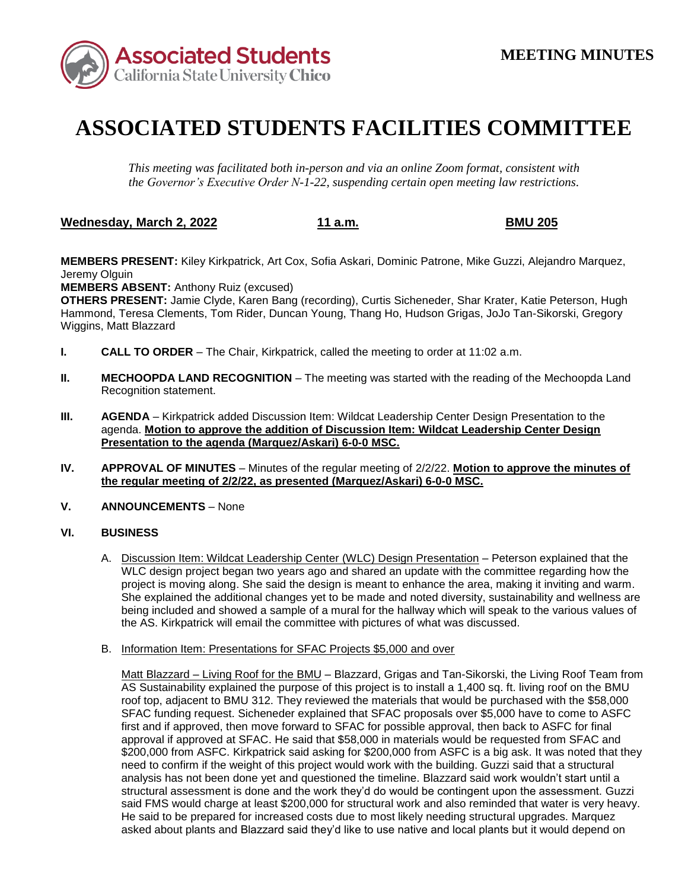

## **ASSOCIATED STUDENTS FACILITIES COMMITTEE**

*This meeting was facilitated both in-person and via an online Zoom format, consistent with the Governor's Executive Order N-1-22, suspending certain open meeting law restrictions.* 

**Wednesday, March 2, 2022 11 a.m. BMU 205** 

**MEMBERS PRESENT:** Kiley Kirkpatrick, Art Cox, Sofia Askari, Dominic Patrone, Mike Guzzi, Alejandro Marquez, Jeremy Olguin

**MEMBERS ABSENT:** Anthony Ruiz (excused)

**OTHERS PRESENT:** Jamie Clyde, Karen Bang (recording), Curtis Sicheneder, Shar Krater, Katie Peterson, Hugh Hammond, Teresa Clements, Tom Rider, Duncan Young, Thang Ho, Hudson Grigas, JoJo Tan-Sikorski, Gregory Wiggins, Matt Blazzard

- **I. CALL TO ORDER**  The Chair, Kirkpatrick, called the meeting to order at 11:02 a.m.
- **II. MECHOOPDA LAND RECOGNITION** The meeting was started with the reading of the Mechoopda Land Recognition statement.
- **III. AGENDA** Kirkpatrick added Discussion Item: Wildcat Leadership Center Design Presentation to the agenda. **Motion to approve the addition of Discussion Item: Wildcat Leadership Center Design Presentation to the agenda (Marquez/Askari) 6-0-0 MSC.**
- **IV. APPROVAL OF MINUTES**  Minutes of the regular meeting of 2/2/22. **Motion to approve the minutes of the regular meeting of 2/2/22, as presented (Marquez/Askari) 6-0-0 MSC.**
- **V.** ANNOUNCEMENTS None

## **VI. BUSINESS**

- She explained the additional changes yet to be made and noted diversity, sustainability and wellness are being included and showed a sample of a mural for the hallway which will speak to the various values of A. Discussion Item: Wildcat Leadership Center (WLC) Design Presentation - Peterson explained that the WLC design project began two years ago and shared an update with the committee regarding how the project is moving along. She said the design is meant to enhance the area, making it inviting and warm. the AS. Kirkpatrick will email the committee with pictures of what was discussed.
- B. Information Item: Presentations for SFAC Projects \$5,000 and over

Matt Blazzard – Living Roof for the BMU – Blazzard, Grigas and Tan-Sikorski, the Living Roof Team from approval if approved at SFAC. He said that \$58,000 in materials would be requested from SFAC and need to confirm if the weight of this project would work with the building. Guzzi said that a structural analysis has not been done yet and questioned the timeline. Blazzard said work wouldn't start until a said FMS would charge at least \$200,000 for structural work and also reminded that water is very heavy. asked about plants and Blazzard said they'd like to use native and local plants but it would depend on AS Sustainability explained the purpose of this project is to install a 1,400 sq. ft. living roof on the BMU roof top, adjacent to BMU 312. They reviewed the materials that would be purchased with the \$58,000 SFAC funding request. Sicheneder explained that SFAC proposals over \$5,000 have to come to ASFC first and if approved, then move forward to SFAC for possible approval, then back to ASFC for final \$200,000 from ASFC. Kirkpatrick said asking for \$200,000 from ASFC is a big ask. It was noted that they structural assessment is done and the work they'd do would be contingent upon the assessment. Guzzi He said to be prepared for increased costs due to most likely needing structural upgrades. Marquez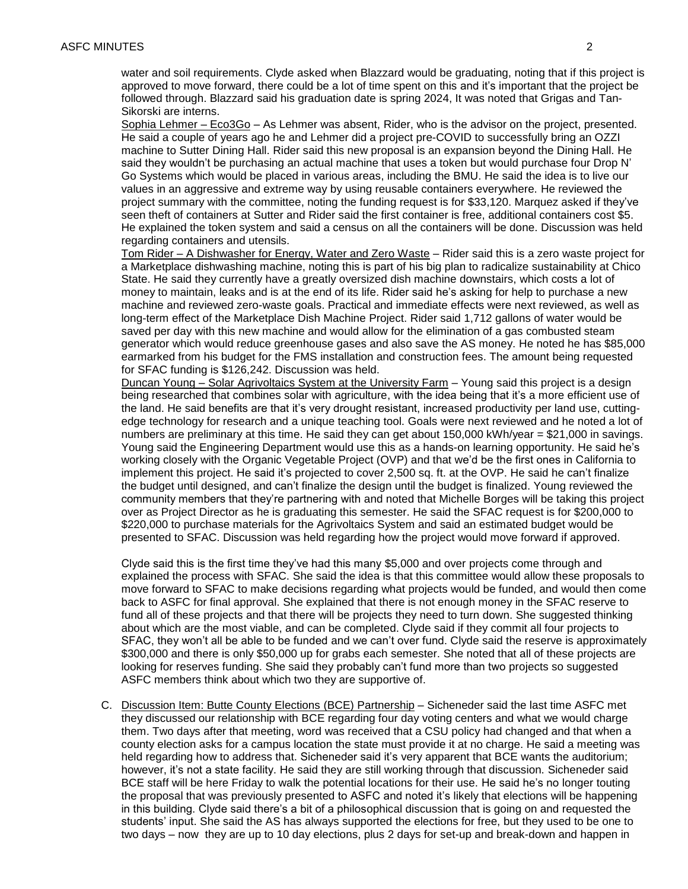followed through. Blazzard said his graduation date is spring 2024, It was noted that Grigas and Tanwater and soil requirements. Clyde asked when Blazzard would be graduating, noting that if this project is approved to move forward, there could be a lot of time spent on this and it's important that the project be Sikorski are interns.

 said they wouldn't be purchasing an actual machine that uses a token but would purchase four Drop N' Sophia Lehmer – Eco3Go – As Lehmer was absent, Rider, who is the advisor on the project, presented. He said a couple of years ago he and Lehmer did a project pre-COVID to successfully bring an OZZI machine to Sutter Dining Hall. Rider said this new proposal is an expansion beyond the Dining Hall. He Go Systems which would be placed in various areas, including the BMU. He said the idea is to live our values in an aggressive and extreme way by using reusable containers everywhere. He reviewed the project summary with the committee, noting the funding request is for \$33,120. Marquez asked if they've seen theft of containers at Sutter and Rider said the first container is free, additional containers cost \$5. He explained the token system and said a census on all the containers will be done. Discussion was held regarding containers and utensils.

 Tom Rider – A Dishwasher for Energy, Water and Zero Waste – Rider said this is a zero waste project for State. He said they currently have a greatly oversized dish machine downstairs, which costs a lot of machine and reviewed zero-waste goals. Practical and immediate effects were next reviewed, as well as generator which would reduce greenhouse gases and also save the AS money. He noted he has \$85,000 for SFAC funding is \$126,242. Discussion was held. a Marketplace dishwashing machine, noting this is part of his big plan to radicalize sustainability at Chico money to maintain, leaks and is at the end of its life. Rider said he's asking for help to purchase a new long-term effect of the Marketplace Dish Machine Project. Rider said 1,712 gallons of water would be saved per day with this new machine and would allow for the elimination of a gas combusted steam earmarked from his budget for the FMS installation and construction fees. The amount being requested

Duncan Young – Solar Agrivoltaics System at the University Farm – Young said this project is a design edge technology for research and a unique teaching tool. Goals were next reviewed and he noted a lot of working closely with the Organic Vegetable Project (OVP) and that we'd be the first ones in California to presented to SFAC. Discussion was held regarding how the project would move forward if approved. being researched that combines solar with agriculture, with the idea being that it's a more efficient use of the land. He said benefits are that it's very drought resistant, increased productivity per land use, cuttingnumbers are preliminary at this time. He said they can get about 150,000 kWh/year = \$21,000 in savings. Young said the Engineering Department would use this as a hands-on learning opportunity. He said he's implement this project. He said it's projected to cover 2,500 sq. ft. at the OVP. He said he can't finalize the budget until designed, and can't finalize the design until the budget is finalized. Young reviewed the community members that they're partnering with and noted that Michelle Borges will be taking this project over as Project Director as he is graduating this semester. He said the SFAC request is for \$200,000 to \$220,000 to purchase materials for the Agrivoltaics System and said an estimated budget would be

 explained the process with SFAC. She said the idea is that this committee would allow these proposals to SFAC, they won't all be able to be funded and we can't over fund. Clyde said the reserve is approximately Clyde said this is the first time they've had this many \$5,000 and over projects come through and move forward to SFAC to make decisions regarding what projects would be funded, and would then come back to ASFC for final approval. She explained that there is not enough money in the SFAC reserve to fund all of these projects and that there will be projects they need to turn down. She suggested thinking about which are the most viable, and can be completed. Clyde said if they commit all four projects to \$300,000 and there is only \$50,000 up for grabs each semester. She noted that all of these projects are looking for reserves funding. She said they probably can't fund more than two projects so suggested ASFC members think about which two they are supportive of.

 two days – now they are up to 10 day elections, plus 2 days for set-up and break-down and happen in C. Discussion Item: Butte County Elections (BCE) Partnership – Sicheneder said the last time ASFC met they discussed our relationship with BCE regarding four day voting centers and what we would charge them. Two days after that meeting, word was received that a CSU policy had changed and that when a county election asks for a campus location the state must provide it at no charge. He said a meeting was held regarding how to address that. Sicheneder said it's very apparent that BCE wants the auditorium; however, it's not a state facility. He said they are still working through that discussion. Sicheneder said BCE staff will be here Friday to walk the potential locations for their use. He said he's no longer touting the proposal that was previously presented to ASFC and noted it's likely that elections will be happening in this building. Clyde said there's a bit of a philosophical discussion that is going on and requested the students' input. She said the AS has always supported the elections for free, but they used to be one to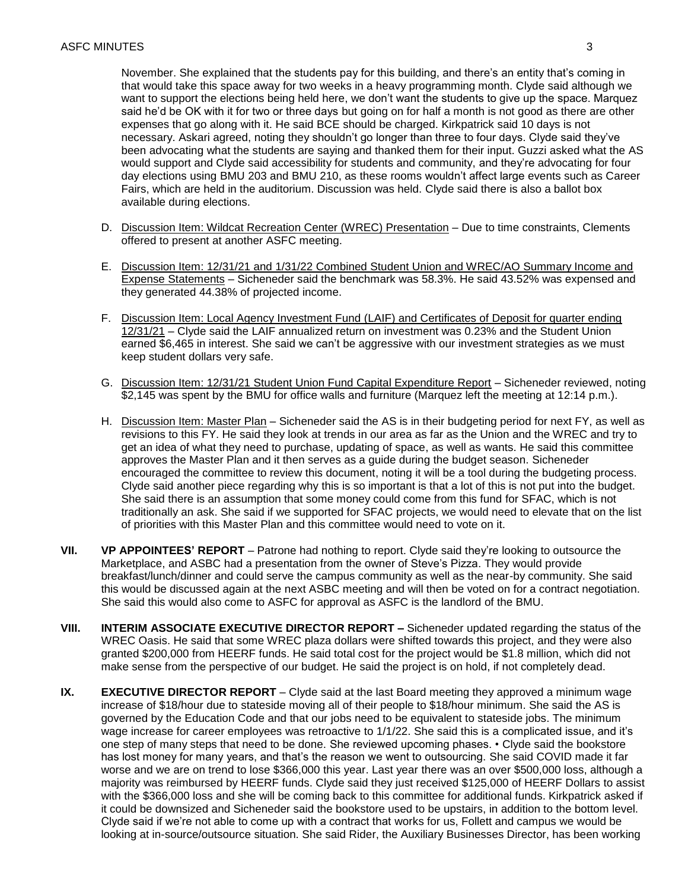that would take this space away for two weeks in a heavy programming month. Clyde said although we available during elections. November. She explained that the students pay for this building, and there's an entity that's coming in want to support the elections being held here, we don't want the students to give up the space. Marquez said he'd be OK with it for two or three days but going on for half a month is not good as there are other expenses that go along with it. He said BCE should be charged. Kirkpatrick said 10 days is not necessary. Askari agreed, noting they shouldn't go longer than three to four days. Clyde said they've been advocating what the students are saying and thanked them for their input. Guzzi asked what the AS would support and Clyde said accessibility for students and community, and they're advocating for four day elections using BMU 203 and BMU 210, as these rooms wouldn't affect large events such as Career Fairs, which are held in the auditorium. Discussion was held. Clyde said there is also a ballot box

- D. Discussion Item: Wildcat Recreation Center (WREC) Presentation Due to time constraints, Clements offered to present at another ASFC meeting.
- they generated 44.38% of projected income. E. Discussion Item: 12/31/21 and 1/31/22 Combined Student Union and WREC/AO Summary Income and Expense Statements – Sicheneder said the benchmark was 58.3%. He said 43.52% was expensed and
- F. Discussion Item: Local Agency Investment Fund (LAIF) and Certificates of Deposit for quarter ending 12/31/21 – Clyde said the LAIF annualized return on investment was 0.23% and the Student Union earned \$6,465 in interest. She said we can't be aggressive with our investment strategies as we must keep student dollars very safe.
- G. Discussion Item: 12/31/21 Student Union Fund Capital Expenditure Report Sicheneder reviewed, noting \$2,145 was spent by the BMU for office walls and furniture (Marquez left the meeting at 12:14 p.m.).
- H. Discussion Item: Master Plan Sicheneder said the AS is in their budgeting period for next FY, as well as get an idea of what they need to purchase, updating of space, as well as wants. He said this committee Clyde said another piece regarding why this is so important is that a lot of this is not put into the budget. of priorities with this Master Plan and this committee would need to vote on it. revisions to this FY. He said they look at trends in our area as far as the Union and the WREC and try to approves the Master Plan and it then serves as a guide during the budget season. Sicheneder encouraged the committee to review this document, noting it will be a tool during the budgeting process. She said there is an assumption that some money could come from this fund for SFAC, which is not traditionally an ask. She said if we supported for SFAC projects, we would need to elevate that on the list
- this would be discussed again at the next ASBC meeting and will then be voted on for a contract negotiation. **VII. VP APPOINTEES' REPORT** – Patrone had nothing to report. Clyde said they're looking to outsource the Marketplace, and ASBC had a presentation from the owner of Steve's Pizza. They would provide breakfast/lunch/dinner and could serve the campus community as well as the near-by community. She said She said this would also come to ASFC for approval as ASFC is the landlord of the BMU.
- **VIII. INTERIM ASSOCIATE EXECUTIVE DIRECTOR REPORT –** Sicheneder updated regarding the status of the WREC Oasis. He said that some WREC plaza dollars were shifted towards this project, and they were also granted \$200,000 from HEERF funds. He said total cost for the project would be \$1.8 million, which did not make sense from the perspective of our budget. He said the project is on hold, if not completely dead.
- majority was reimbursed by HEERF funds. Clyde said they just received \$125,000 of HEERF Dollars to assist looking at in-source/outsource situation. She said Rider, the Auxiliary Businesses Director, has been working **IX. EXECUTIVE DIRECTOR REPORT** – Clyde said at the last Board meeting they approved a minimum wage increase of \$18/hour due to stateside moving all of their people to \$18/hour minimum. She said the AS is governed by the Education Code and that our jobs need to be equivalent to stateside jobs. The minimum wage increase for career employees was retroactive to 1/1/22. She said this is a complicated issue, and it's one step of many steps that need to be done. She reviewed upcoming phases. • Clyde said the bookstore has lost money for many years, and that's the reason we went to outsourcing. She said COVID made it far worse and we are on trend to lose \$366,000 this year. Last year there was an over \$500,000 loss, although a with the \$366,000 loss and she will be coming back to this committee for additional funds. Kirkpatrick asked if it could be downsized and Sicheneder said the bookstore used to be upstairs, in addition to the bottom level. Clyde said if we're not able to come up with a contract that works for us, Follett and campus we would be